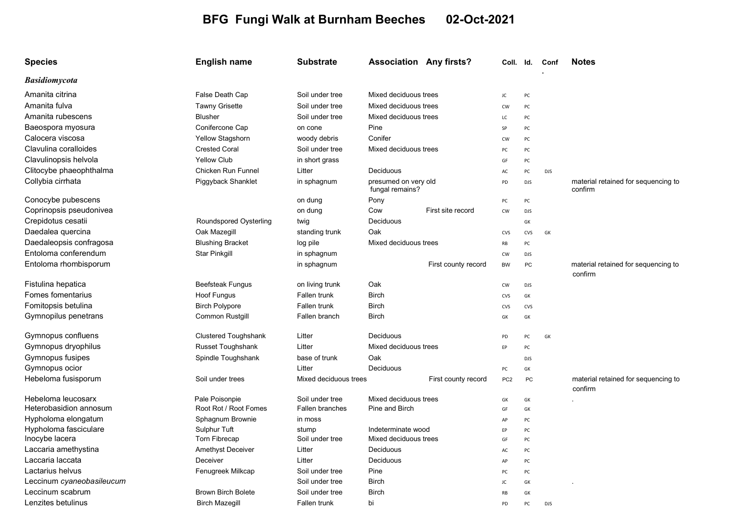## BFG Fungi Walk at Burnham Beeches 02-Oct-2021

| <b>Species</b>            | <b>English name</b>         | <b>Substrate</b>       | <b>Association Any firsts?</b>          |                     | Coll. Id.       |            | Conf       | <b>Notes</b>                                   |
|---------------------------|-----------------------------|------------------------|-----------------------------------------|---------------------|-----------------|------------|------------|------------------------------------------------|
| <b>Basidiomycota</b>      |                             |                        |                                         |                     |                 |            |            |                                                |
| Amanita citrina           | False Death Cap             | Soil under tree        | Mixed deciduous trees                   |                     | JC              | PC         |            |                                                |
| Amanita fulva             | <b>Tawny Grisette</b>       | Soil under tree        | Mixed deciduous trees                   |                     | CW              | PC         |            |                                                |
| Amanita rubescens         | <b>Blusher</b>              | Soil under tree        | Mixed deciduous trees                   |                     | LC              | PC         |            |                                                |
| Baeospora myosura         | Conifercone Cap             | on cone                | Pine                                    |                     | SP              | PC         |            |                                                |
| Calocera viscosa          | Yellow Stagshorn            | woody debris           | Conifer                                 |                     | <b>CW</b>       | PC         |            |                                                |
| Clavulina coralloides     | <b>Crested Coral</b>        | Soil under tree        | Mixed deciduous trees                   |                     | PC              | PC         |            |                                                |
| Clavulinopsis helvola     | <b>Yellow Club</b>          | in short grass         |                                         |                     | GF              | PC         |            |                                                |
| Clitocybe phaeophthalma   | Chicken Run Funnel          | Litter                 | Deciduous                               |                     | AC              | PC         | <b>DJS</b> |                                                |
| Collybia cirrhata         | Piggyback Shanklet          | in sphagnum            | presumed on very old<br>fungal remains? |                     | PD              | <b>DJS</b> |            | material retained for sequencing to<br>confirm |
| Conocybe pubescens        |                             | on dung                | Pony                                    |                     | PC              | PC         |            |                                                |
| Coprinopsis pseudonivea   |                             | on dung                | Cow                                     | First site record   | CW              | <b>DJS</b> |            |                                                |
| Crepidotus cesatii        | Roundspored Oysterling      | twig                   | Deciduous                               |                     |                 | GK         |            |                                                |
| Daedalea quercina         | Oak Mazegill                | standing trunk         | Oak                                     |                     | CVS             | <b>CVS</b> | GK         |                                                |
| Daedaleopsis confragosa   | <b>Blushing Bracket</b>     | log pile               | Mixed deciduous trees                   |                     | RB              | PC         |            |                                                |
| Entoloma conferendum      | Star Pinkgill               | in sphagnum            |                                         |                     | <b>CW</b>       | <b>DJS</b> |            |                                                |
| Entoloma rhombisporum     |                             | in sphagnum            |                                         | First county record | <b>BW</b>       | PC         |            | material retained for sequencing to<br>confirm |
| Fistulina hepatica        | Beefsteak Fungus            | on living trunk        | Oak                                     |                     | <b>CW</b>       | <b>DJS</b> |            |                                                |
| Fomes fomentarius         | Hoof Fungus                 | Fallen trunk           | <b>Birch</b>                            |                     | CVS             | GK         |            |                                                |
| Fomitopsis betulina       | <b>Birch Polypore</b>       | Fallen trunk           | <b>Birch</b>                            |                     | CVS             | <b>CVS</b> |            |                                                |
| Gymnopilus penetrans      | Common Rustgill             | Fallen branch          | <b>Birch</b>                            |                     | GK              | GK         |            |                                                |
| Gymnopus confluens        | <b>Clustered Toughshank</b> | Litter                 | Deciduous                               |                     | PD              | PC         | GK         |                                                |
| Gymnopus dryophilus       | Russet Toughshank           | Litter                 | Mixed deciduous trees                   |                     | EP              | PC         |            |                                                |
| Gymnopus fusipes          | Spindle Toughshank          | base of trunk          | Oak                                     |                     |                 | <b>DJS</b> |            |                                                |
| Gymnopus ocior            |                             | Litter                 | Deciduous                               |                     | PC              | GK         |            |                                                |
| Hebeloma fusisporum       | Soil under trees            | Mixed deciduous trees  |                                         | First county record | PC <sub>2</sub> | <b>PC</b>  |            | material retained for sequencing to<br>confirm |
| Hebeloma leucosarx        | Pale Poisonpie              | Soil under tree        | Mixed deciduous trees                   |                     | GK              | GK         |            |                                                |
| Heterobasidion annosum    | Root Rot / Root Fomes       | <b>Fallen branches</b> | Pine and Birch                          |                     | GF              | GK         |            |                                                |
| Hypholoma elongatum       | Sphagnum Brownie            | in moss                |                                         |                     | AP              | PC         |            |                                                |
| Hypholoma fasciculare     | Sulphur Tuft                | stump                  | Indeterminate wood                      |                     | EP              | PC         |            |                                                |
| Inocybe lacera            | <b>Torn Fibrecap</b>        | Soil under tree        | Mixed deciduous trees                   |                     | GF              | PC         |            |                                                |
| Laccaria amethystina      | Amethyst Deceiver           | Litter                 | Deciduous                               |                     | AC              | PC         |            |                                                |
| Laccaria laccata          | Deceiver                    | Litter                 | Deciduous                               |                     | AP              | PC         |            |                                                |
| Lactarius helvus          | Fenugreek Milkcap           | Soil under tree        | Pine                                    |                     | PC              | PC         |            |                                                |
| Leccinum cyaneobasileucum |                             | Soil under tree        | <b>Birch</b>                            |                     | JC              | GK         |            |                                                |
| Leccinum scabrum          | <b>Brown Birch Bolete</b>   | Soil under tree        | <b>Birch</b>                            |                     | RB              | GK         |            |                                                |
| Lenzites betulinus        | <b>Birch Mazegill</b>       | Fallen trunk           | bi                                      |                     | PD              | PC         | <b>DJS</b> |                                                |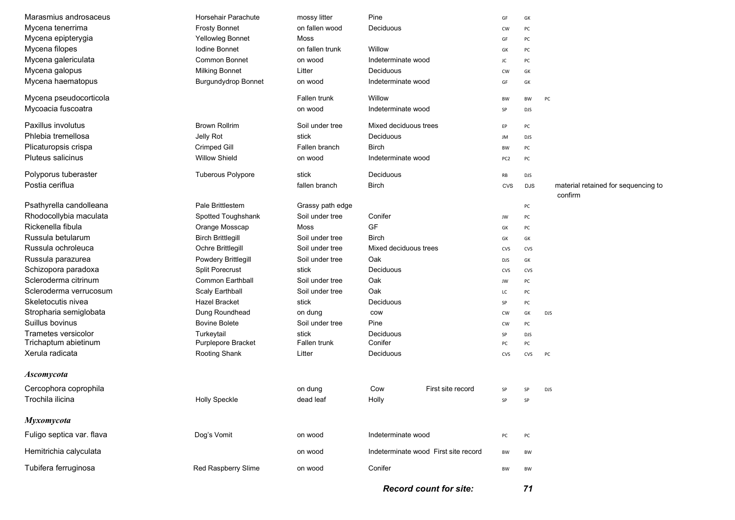| Marasmius androsaceus     | Horsehair Parachute        | mossy litter     | Pine                                 |                   | GF              | GK         |                                                |
|---------------------------|----------------------------|------------------|--------------------------------------|-------------------|-----------------|------------|------------------------------------------------|
| Mycena tenerrima          | <b>Frosty Bonnet</b>       | on fallen wood   | Deciduous                            |                   | CW              | PC         |                                                |
| Mycena epipterygia        | Yellowleg Bonnet           | Moss             |                                      |                   | GF              | PC         |                                                |
| Mycena filopes            | Iodine Bonnet              | on fallen trunk  | Willow                               |                   | GK              | PC         |                                                |
| Mycena galericulata       | <b>Common Bonnet</b>       | on wood          | Indeterminate wood                   |                   | JC              | PC         |                                                |
| Mycena galopus            | <b>Milking Bonnet</b>      | Litter           | Deciduous                            |                   | CW              | GK         |                                                |
| Mycena haematopus         | <b>Burgundydrop Bonnet</b> | on wood          | Indeterminate wood                   |                   | GF              | GK         |                                                |
| Mycena pseudocorticola    |                            | Fallen trunk     | Willow                               |                   | BW              | <b>BW</b>  | PC                                             |
| Mycoacia fuscoatra        |                            | on wood          | Indeterminate wood                   |                   | SP              | <b>DJS</b> |                                                |
| Paxillus involutus        | <b>Brown Rollrim</b>       | Soil under tree  | Mixed deciduous trees                |                   |                 | PC         |                                                |
| Phlebia tremellosa        | Jelly Rot                  | stick            | Deciduous                            |                   | JM              | <b>DJS</b> |                                                |
| Plicaturopsis crispa      | Crimped Gill               | Fallen branch    | Birch                                |                   | BW              | PC         |                                                |
| <b>Pluteus salicinus</b>  | <b>Willow Shield</b>       | on wood          | Indeterminate wood                   |                   | PC <sub>2</sub> | PC         |                                                |
| Polyporus tuberaster      | <b>Tuberous Polypore</b>   | stick            | Deciduous                            |                   | RB              | <b>DJS</b> |                                                |
| Postia ceriflua           |                            | fallen branch    | <b>Birch</b>                         |                   | <b>CVS</b>      | <b>DJS</b> | material retained for sequencing to<br>confirm |
| Psathyrella candolleana   | Pale Brittlestem           | Grassy path edge |                                      |                   |                 | PC         |                                                |
| Rhodocollybia maculata    | Spotted Toughshank         | Soil under tree  | Conifer                              |                   | JW              | PC         |                                                |
| Rickenella fibula         | Orange Mosscap             | Moss             | GF                                   |                   | GK              | PC         |                                                |
| Russula betularum         | <b>Birch Brittlegill</b>   | Soil under tree  | Birch                                |                   | GK              | GK         |                                                |
| Russula ochroleuca        | Ochre Brittlegill          | Soil under tree  | Mixed deciduous trees                |                   | CVS             | CVS        |                                                |
| Russula parazurea         | Powdery Brittlegill        | Soil under tree  | Oak                                  |                   | <b>DJS</b>      | GK         |                                                |
| Schizopora paradoxa       | <b>Split Porecrust</b>     | stick            | Deciduous                            |                   | CVS             | CVS        |                                                |
| Scleroderma citrinum      | <b>Common Earthball</b>    | Soil under tree  | Oak                                  |                   | JW              | PC         |                                                |
| Scleroderma verrucosum    | Scaly Earthball            | Soil under tree  | Oak                                  |                   | LC              | PC         |                                                |
| Skeletocutis nivea        | Hazel Bracket              | stick            | Deciduous                            |                   | SP              | PC         |                                                |
| Stropharia semiglobata    | Dung Roundhead             | on dung          | cow                                  |                   | CW              | GK         | <b>DJS</b>                                     |
| Suillus bovinus           | <b>Bovine Bolete</b>       | Soil under tree  | Pine                                 |                   | CW              | PC         |                                                |
| Trametes versicolor       | Turkeytail                 | stick            | Deciduous                            |                   | SP              | <b>DJS</b> |                                                |
| Trichaptum abietinum      | Purplepore Bracket         | Fallen trunk     | Conifer                              |                   | PC              | PC         |                                                |
| Xerula radicata           | Rooting Shank              | Litter           | Deciduous                            |                   | CVS             | CVS        | PC                                             |
| <b>Ascomycota</b>         |                            |                  |                                      |                   |                 |            |                                                |
| Cercophora coprophila     |                            | on dung          | Cow                                  | First site record | SP              | SP         | <b>DJS</b>                                     |
| Trochila ilicina          | <b>Holly Speckle</b>       | dead leaf        | Holly                                |                   | SP              | SP         |                                                |
| Myxomycota                |                            |                  |                                      |                   |                 |            |                                                |
| Fuligo septica var. flava | Dog's Vomit                | on wood          | Indeterminate wood                   |                   | PC              | PC         |                                                |
| Hemitrichia calyculata    |                            | on wood          | Indeterminate wood First site record |                   | BW              | BW         |                                                |
| Tubifera ferruginosa      | Red Raspberry Slime        | on wood          | Conifer                              |                   | BW              | BW         |                                                |
|                           |                            |                  |                                      |                   |                 |            |                                                |

Record count for site: 71